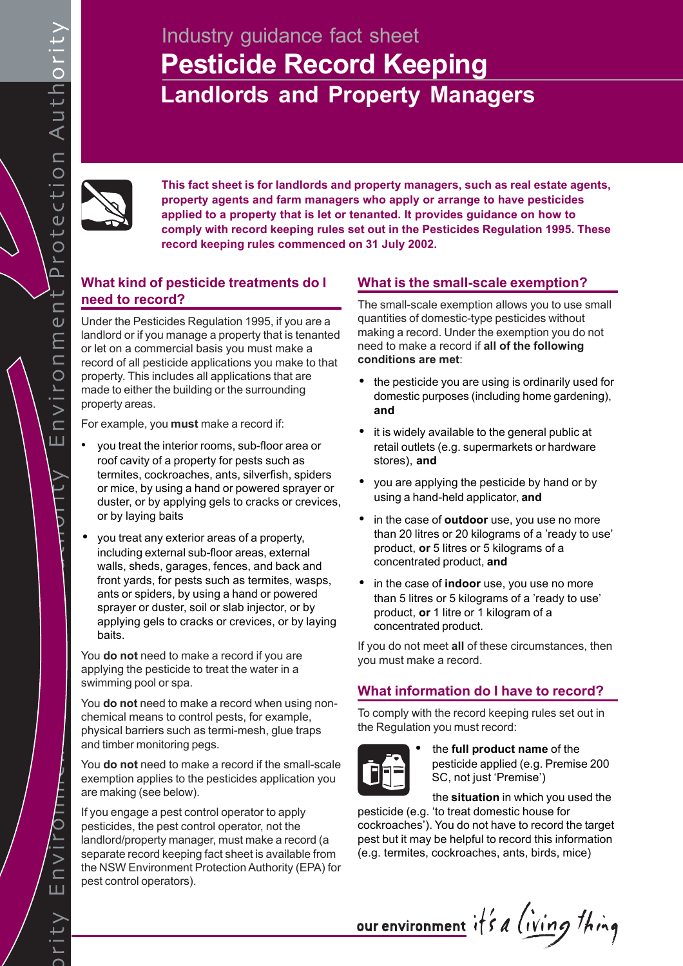# **Pesticide Record Keeping Landlords and Property Managers** Industry guidance fact sheet



**This fact sheet is for landlords and property managers, such as real estate agents, property agents and farm managers who apply or arrange to have pesticides applied to a property that is let or tenanted. It provides guidance on how to comply with record keeping rules set out in the Pesticides Regulation 1995. These record keeping rules commenced on 31 July 2002.**

# **What kind of pesticide treatments do I need to record?**

Under the Pesticides Regulation 1995, if you are a landlord or if you manage a property that is tenanted or let on a commercial basis you must make a record of all pesticide applications you make to that property. This includes all applications that are made to either the building or the surrounding property areas.

For example, you **must** make a record if:

- you treat the interior rooms, sub-floor area or roof cavity of a property for pests such as termites, cockroaches, ants, silverfish, spiders or mice, by using a hand or powered sprayer or duster, or by applying gels to cracks or crevices, or by laying baits
- you treat any exterior areas of a property, including external sub-floor areas, external walls, sheds, garages, fences, and back and front yards, for pests such as termites, wasps, ants or spiders, by using a hand or powered sprayer or duster, soil or slab injector, or by applying gels to cracks or crevices, or by laying baits.

You **do not** need to make a record if you are applying the pesticide to treat the water in a swimming pool or spa.

You **do not** need to make a record when using nonchemical means to control pests, for example, physical barriers such as termi-mesh, glue traps and timber monitoring pegs.

You **do not** need to make a record if the small-scale exemption applies to the pesticides application you are making (see below).

If you engage a pest control operator to apply pesticides, the pest control operator, not the landlord/property manager, must make a record (a separate record keeping fact sheet is available from the NSW Environment Protection Authority (EPA) for pest control operators).

# **What is the small-scale exemption?**

The small-scale exemption allows you to use small quantities of domestic-type pesticides without making a record. Under the exemption you do not need to make a record if **all of the following conditions are met**:

- the pesticide you are using is ordinarily used for domestic purposes (including home gardening), **and**
- it is widely available to the general public at retail outlets (e.g. supermarkets or hardware stores), **and**
- you are applying the pesticide by hand or by using a hand-held applicator, **and**
- in the case of **outdoor** use, you use no more than 20 litres or 20 kilograms of a 'ready to use' product, **or** 5 litres or 5 kilograms of a concentrated product, **and**
- in the case of **indoor** use, you use no more than 5 litres or 5 kilograms of a 'ready to use' product, **or** 1 litre or 1 kilogram of a concentrated product.

If you do not meet **all** of these circumstances, then you must make a record.

# **What information do I have to record?**

To comply with the record keeping rules set out in the Regulation you must record:



• the **full product name** of the pesticide applied (e.g. Premise 200 SC, not just 'Premise')

the **situation** in which you used the pesticide (e.g. 'to treat domestic house for cockroaches'). You do not have to record the target pest but it may be helpful to record this information (e.g. termites, cockroaches, ants, birds, mice)

our environment it's a living thing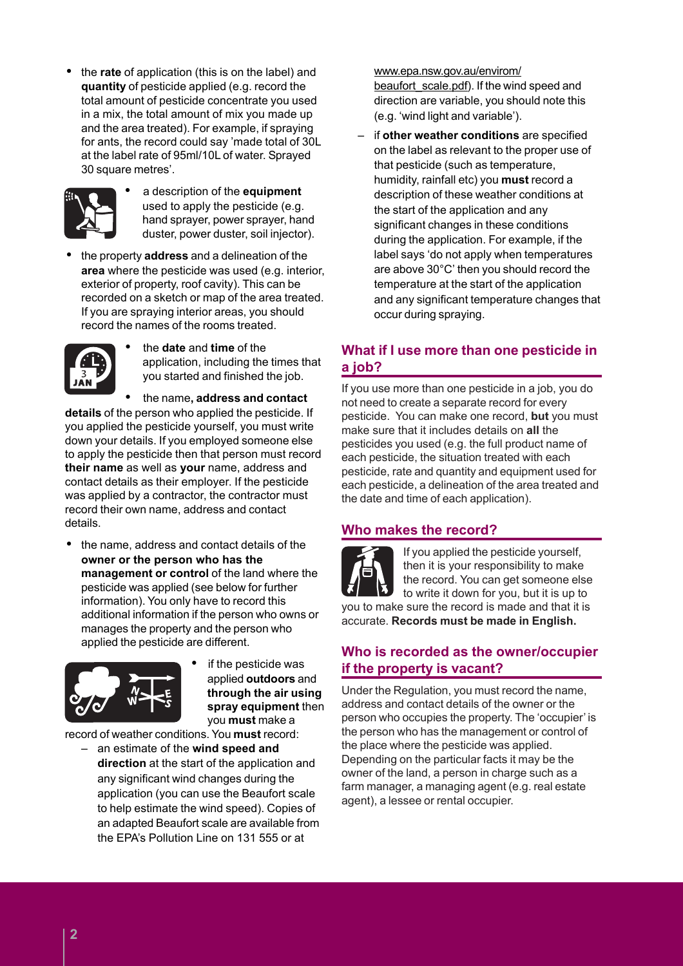• the **rate** of application (this is on the label) and **quantity** of pesticide applied (e.g. record the total amount of pesticide concentrate you used in a mix, the total amount of mix you made up and the area treated). For example, if spraying for ants, the record could say 'made total of 30L at the label rate of 95ml/10L of water. Sprayed 30 square metres'.



• a description of the **equipment** used to apply the pesticide (e.g. hand sprayer, power sprayer, hand duster, power duster, soil injector).

• the property **address** and a delineation of the **area** where the pesticide was used (e.g. interior, exterior of property, roof cavity). This can be recorded on a sketch or map of the area treated. If you are spraying interior areas, you should record the names of the rooms treated.



• the **date** and **time** of the application, including the times that you started and finished the job.

• the name**, address and contact details** of the person who applied the pesticide. If you applied the pesticide yourself, you must write down your details. If you employed someone else to apply the pesticide then that person must record **their name** as well as **your** name, address and contact details as their employer. If the pesticide was applied by a contractor, the contractor must record their own name, address and contact details.

• the name, address and contact details of the **owner or the person who has the management or control** of the land where the pesticide was applied (see below for further information). You only have to record this additional information if the person who owns or manages the property and the person who applied the pesticide are different.



if the pesticide was applied **outdoors** and **through the air using spray equipment** then you **must** make a

record of weather conditions. You **must** record:

– an estimate of the **wind speed and direction** at the start of the application and any significant wind changes during the application (you can use the Beaufort scale to help estimate the wind speed). Copies of an adapted Beaufort scale are available from the EPA's Pollution Line on 131 555 or at

www.epa.nsw.gov.au/envirom/ beaufort scale.pdf). If the wind speed and direction are variable, you should note this (e.g. 'wind light and variable').

– if **other weather conditions** are specified on the label as relevant to the proper use of that pesticide (such as temperature, humidity, rainfall etc) you **must** record a description of these weather conditions at the start of the application and any significant changes in these conditions during the application. For example, if the label says 'do not apply when temperatures are above 30°C' then you should record the temperature at the start of the application and any significant temperature changes that occur during spraying.

# **What if I use more than one pesticide in a job?**

If you use more than one pesticide in a job, you do not need to create a separate record for every pesticide. You can make one record, **but** you must make sure that it includes details on **all** the pesticides you used (e.g. the full product name of each pesticide, the situation treated with each pesticide, rate and quantity and equipment used for each pesticide, a delineation of the area treated and the date and time of each application).

# **Who makes the record?**



If you applied the pesticide yourself, then it is your responsibility to make the record. You can get someone else to write it down for you, but it is up to

you to make sure the record is made and that it is accurate. **Records must be made in English.**

# **Who is recorded as the owner/occupier if the property is vacant?**

Under the Regulation, you must record the name, address and contact details of the owner or the person who occupies the property. The 'occupier' is the person who has the management or control of the place where the pesticide was applied. Depending on the particular facts it may be the owner of the land, a person in charge such as a farm manager, a managing agent (e.g. real estate agent), a lessee or rental occupier.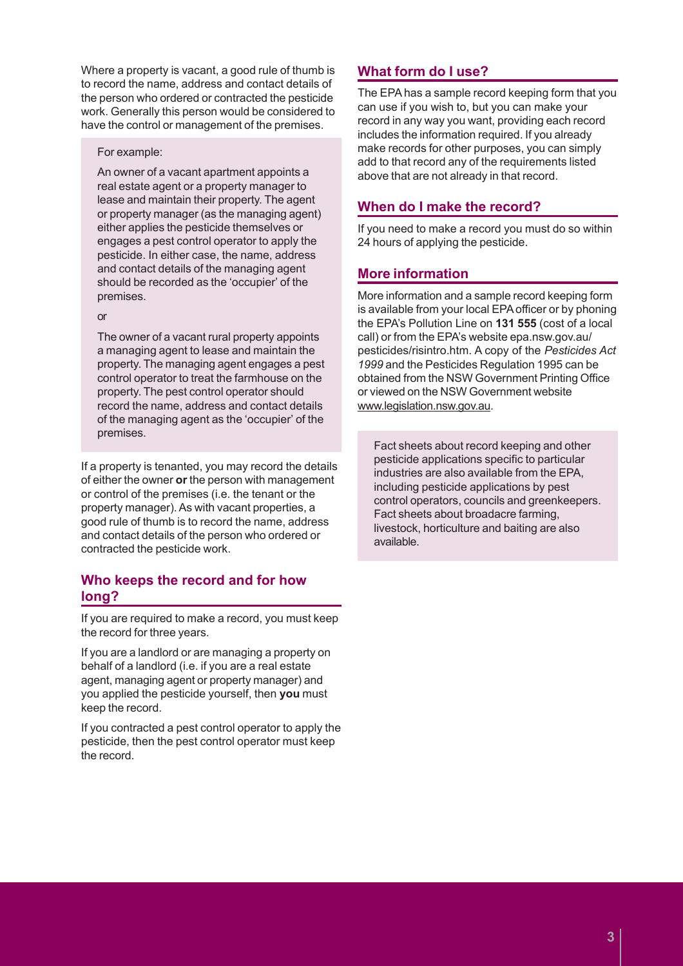Where a property is vacant, a good rule of thumb is to record the name, address and contact details of the person who ordered or contracted the pesticide work. Generally this person would be considered to have the control or management of the premises.

#### For example:

An owner of a vacant apartment appoints a real estate agent or a property manager to lease and maintain their property. The agent or property manager (as the managing agent) either applies the pesticide themselves or engages a pest control operator to apply the pesticide. In either case, the name, address and contact details of the managing agent should be recorded as the 'occupier' of the premises.

#### or

The owner of a vacant rural property appoints a managing agent to lease and maintain the property. The managing agent engages a pest control operator to treat the farmhouse on the property. The pest control operator should record the name, address and contact details of the managing agent as the 'occupier' of the premises.

If a property is tenanted, you may record the details of either the owner **or** the person with management or control of the premises (i.e. the tenant or the property manager). As with vacant properties, a good rule of thumb is to record the name, address and contact details of the person who ordered or contracted the pesticide work.

# **Who keeps the record and for how long?**

If you are required to make a record, you must keep the record for three years.

If you are a landlord or are managing a property on behalf of a landlord (i.e. if you are a real estate agent, managing agent or property manager) and you applied the pesticide yourself, then **you** must keep the record.

If you contracted a pest control operator to apply the pesticide, then the pest control operator must keep the record.

# **What form do I use?**

The EPA has a sample record keeping form that you can use if you wish to, but you can make your record in any way you want, providing each record includes the information required. If you already make records for other purposes, you can simply add to that record any of the requirements listed above that are not already in that record.

# **When do I make the record?**

If you need to make a record you must do so within 24 hours of applying the pesticide.

# **More information**

More information and a sample record keeping form is available from your local EPA officer or by phoning the EPA's Pollution Line on **131 555** (cost of a local call) or from the EPA's website epa.nsw.gov.au/ pesticides/risintro.htm. A copy of the *Pesticides Act 1999* and the Pesticides Regulation 1995 can be obtained from the NSW Government Printing Office or viewed on the NSW Government website www.legislation.nsw.gov.au.

Fact sheets about record keeping and other pesticide applications specific to particular industries are also available from the EPA, including pesticide applications by pest control operators, councils and greenkeepers. Fact sheets about broadacre farming, livestock, horticulture and baiting are also available.